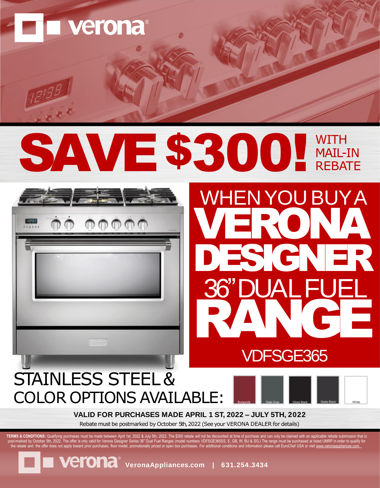